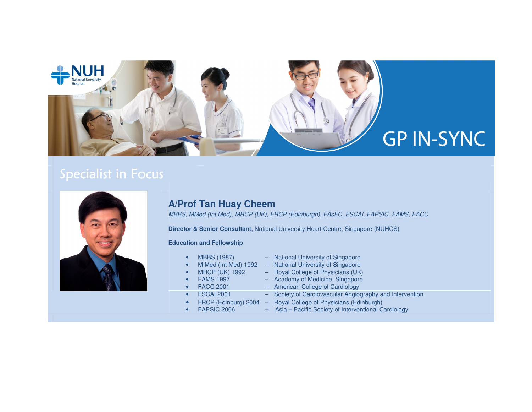

# Specialist in Focus



## **A/Prof Tan Huay Cheem**

MBBS, MMed (Int Med), MRCP (UK), FRCP (Edinburgh), FAsFC, FSCAI, FAPSIC, FAMS, FACC

**Director & Senior Consultant**, National University Heart Centre, Singapore (NUHCS)

#### **Education and Fellowship**

- MBBS (1987) National University of Singapore
- 
- M Med (Int Med) 1992 National University of Singapore
- MRCP (UK) 1992 Royal College of Physicians (UK)
- FAMS 1997 Academy of Medicine, Singapore
	- FACC 2001 American College of Cardiology
- FSCAI 2001 Society of Cardiovascular Angiography and Intervention
	-
- 

•

FRCP (Edinburg) 2004 – Royal College of Physicians (Edinburgh)<br>FAPSIC 2006 – Asia – Pacific Society of Interventional C Asia – Pacific Society of Interventional Cardiology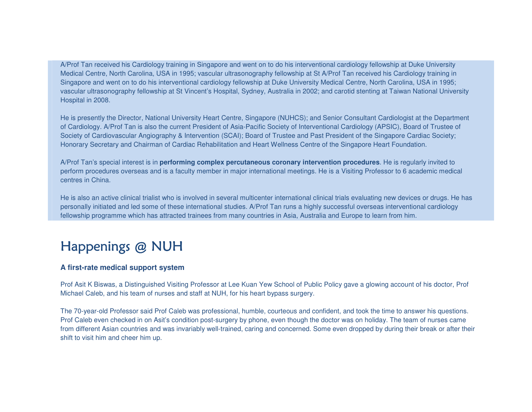A/Prof Tan received his Cardiology training in Singapore and went on to do his interventional cardiology fellowship at Duke University Medical Centre, North Carolina, USA in 1995; vascular ultrasonography fellowship at St A/Prof Tan received his Cardiology training in Singapore and went on to do his interventional cardiology fellowship at Duke University Medical Centre, North Carolina, USA in 1995; vascular ultrasonography fellowship at St Vincent's Hospital, Sydney, Australia in 2002; and carotid stenting at Taiwan National University Hospital in 2008.

He is presently the Director, National University Heart Centre, Singapore (NUHCS); and Senior Consultant Cardiologist at the Department of Cardiology. A/Prof Tan is also the current President of Asia-Pacific Society of Interventional Cardiology (APSIC), Board of Trustee of Society of Cardiovascular Angiography & Intervention (SCAI); Board of Trustee and Past President of the Singapore Cardiac Society; Honorary Secretary and Chairman of Cardiac Rehabilitation and Heart Wellness Centre of the Singapore Heart Foundation.

A/Prof Tan's special interest is in **performing complex percutaneous coronary intervention procedures**. He is regularly invited to perform procedures overseas and is a faculty member in major international meetings. He is a Visiting Professor to 6 academic medical centres in China.

He is also an active clinical trialist who is involved in several multicenter international clinical trials evaluating new devices or drugs. He has personally initiated and led some of these international studies. A/Prof Tan runs a highly successful overseas interventional cardiology fellowship programme which has attracted trainees from many countries in Asia, Australia and Europe to learn from him.

# Happenings @ NUH

### **A first-rate medical support system**

Prof Asit K Biswas, a Distinguished Visiting Professor at Lee Kuan Yew School of Public Policy gave a glowing account of his doctor, Prof Michael Caleb, and his team of nurses and staff at NUH, for his heart bypass surgery.

The 70-year-old Professor said Prof Caleb was professional, humble, courteous and confident, and took the time to answer his questions. Prof Caleb even checked in on Asit's condition post-surgery by phone, even though the doctor was on holiday. The team of nurses came from different Asian countries and was invariably well-trained, caring and concerned. Some even dropped by during their break or after their shift to visit him and cheer him up.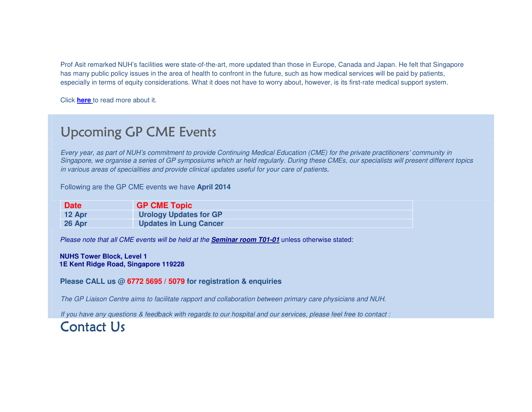Prof Asit remarked NUH's facilities were state-of-the-art, more updated than those in Europe, Canada and Japan. He felt that Singapore has many public policy issues in the area of health to confront in the future, such as how medical services will be paid by patients, especially in terms of equity considerations. What it does not have to worry about, however, is its first-rate medical support system.

Click **here** to read more about it.

## Upcoming GP CME Events

Every year, as part of NUH's commitment to provide Continuing Medical Education (CME) for the private practitioners' community in Singapore, we organise a series of GP symposiums which ar held regularly. During these CMEs, our specialists will present different topics in various areas of specialities and provide clinical updates useful for your care of patients.

Following are the GP CME events we have **April 2014**

| <b>Date</b> | <b>GP CME Topic</b>           |
|-------------|-------------------------------|
| $12$ Apr    | <b>Urology Updates for GP</b> |
| 26 Apr      | <b>Updates in Lung Cancer</b> |

Please note that all CME events will be held at the **Seminar room T01-01** unless otherwise stated:

#### **NUHS Tower Block, Level 1 1E Kent Ridge Road, Singapore 119228**

**Please CALL us @ 6772 5695 / 5079 for registration & enquiries**

The GP Liaison Centre aims to facilitate rapport and collaboration between primary care physicians and NUH.

If you have any questions & feedback with regards to our hospital and our services, please feel free to contact :

## $Context$